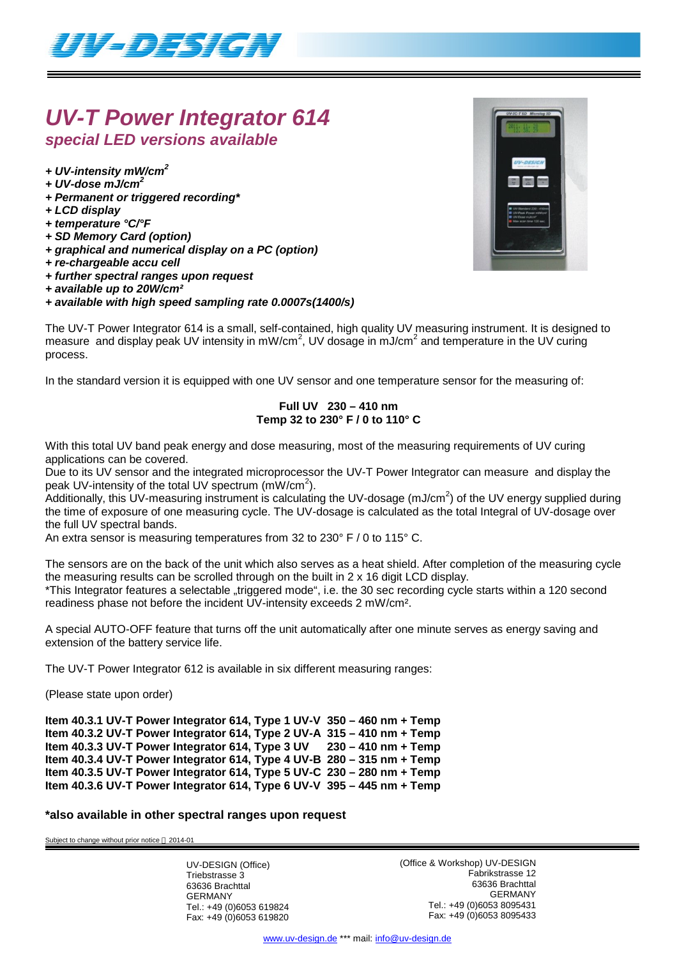

## *UV-T Power Integrator 614 special LED versions available*

*+ UV-intensity mW/cm<sup>2</sup>*

- *+ UV-dose mJ/cm<sup>2</sup>*
- *+ Permanent or triggered recording\**
- *+ LCD display*
- *+ temperature °C/°F*
- *+ SD Memory Card (option)*
- *+ graphical and numerical display on a PC (option)*
- *+ re-chargeable accu cell*
- *+ further spectral ranges upon request*
- *+ available up to 20W/cm²*
- *+ available with high speed sampling rate 0.0007s(1400/s)*

The UV-T Power Integrator 614 is a small, self-contained, high quality UV measuring instrument. It is designed to measure and display peak UV intensity in mW/cm<sup>2</sup>, UV dosage in mJ/cm<sup>2</sup> and temperature in the UV curing process.

In the standard version it is equipped with one UV sensor and one temperature sensor for the measuring of:

### **Full UV 230 – 410 nm Temp 32 to 230° F / 0 to 110° C**

With this total UV band peak energy and dose measuring, most of the measuring requirements of UV curing applications can be covered.

Due to its UV sensor and the integrated microprocessor the UV-T Power Integrator can measure and display the peak UV-intensity of the total UV spectrum  $(mW/cm<sup>2</sup>)$ .

Additionally, this UV-measuring instrument is calculating the UV-dosage (mJ/cm<sup>2</sup>) of the UV energy supplied during the time of exposure of one measuring cycle. The UV-dosage is calculated as the total Integral of UV-dosage over the full UV spectral bands.

An extra sensor is measuring temperatures from 32 to 230° F / 0 to 115° C.

The sensors are on the back of the unit which also serves as a heat shield. After completion of the measuring cycle the measuring results can be scrolled through on the built in 2 x 16 digit LCD display.

\*This Integrator features a selectable "triggered mode", i.e. the 30 sec recording cycle starts within a 120 second readiness phase not before the incident UV-intensity exceeds 2 mW/cm².

A special AUTO-OFF feature that turns off the unit automatically after one minute serves as energy saving and extension of the battery service life.

The UV-T Power Integrator 612 is available in six different measuring ranges:

(Please state upon order)

**Item 40.3.1 UV-T Power Integrator 614, Type 1 UV-V 350 – 460 nm + Temp Item 40.3.2 UV-T Power Integrator 614, Type 2 UV-A 315 – 410 nm + Temp Item 40.3.3 UV-T Power Integrator 614, Type 3 UV 230 – 410 nm + Temp Item 40.3.4 UV-T Power Integrator 614, Type 4 UV-B 280 – 315 nm + Temp Item 40.3.5 UV-T Power Integrator 614, Type 5 UV-C 230 – 280 nm + Temp Item 40.3.6 UV-T Power Integrator 614, Type 6 UV-V 395 – 445 nm + Temp**

### **\*also available in other spectral ranges upon request**

Subject to change without prior notice @ 2014-01

UV-DESIGN (Office) Triebstrasse 3 63636 Brachttal GERMANY Tel.: +49 (0)6053 619824 Fax: +49 (0)6053 619820